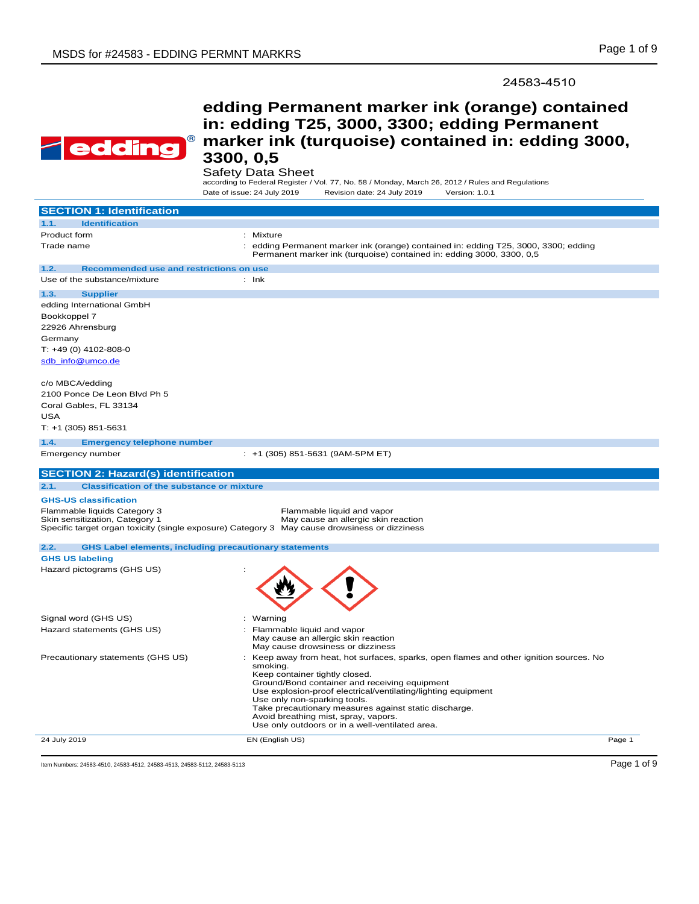24583-4510



# **edding Permanent marker ink (orange) contained in: edding T25, 3000, 3300; edding Permanent marker ink (turquoise) contained in: edding 3000, 3300, 0,5**

### Safety Data Sheet

according to Federal Register / Vol. 77, No. 58 / Monday, March 26, 2012 / Rules and Regulations Date of issue: 24 July 2019 Revision date: 24 July 2019 Version: 1.0.1

| <b>SECTION 1: Identification</b>                                                                                                                                |                                                                                                                                                                                                                                                                                                                                                                                                                                           |
|-----------------------------------------------------------------------------------------------------------------------------------------------------------------|-------------------------------------------------------------------------------------------------------------------------------------------------------------------------------------------------------------------------------------------------------------------------------------------------------------------------------------------------------------------------------------------------------------------------------------------|
| <b>Identification</b><br>1.1.                                                                                                                                   |                                                                                                                                                                                                                                                                                                                                                                                                                                           |
| Product form                                                                                                                                                    | : Mixture                                                                                                                                                                                                                                                                                                                                                                                                                                 |
| Trade name                                                                                                                                                      | edding Permanent marker ink (orange) contained in: edding T25, 3000, 3300; edding<br>Permanent marker ink (turquoise) contained in: edding 3000, 3300, 0,5                                                                                                                                                                                                                                                                                |
| 1.2.<br>Recommended use and restrictions on use                                                                                                                 |                                                                                                                                                                                                                                                                                                                                                                                                                                           |
| Use of the substance/mixture                                                                                                                                    | $:$ Ink                                                                                                                                                                                                                                                                                                                                                                                                                                   |
| 1.3.<br><b>Supplier</b><br>edding International GmbH<br>Bookkoppel 7<br>22926 Ahrensburg<br>Germany<br>T: +49 (0) 4102-808-0                                    |                                                                                                                                                                                                                                                                                                                                                                                                                                           |
| sdb info@umco.de<br>c/o MBCA/edding<br>2100 Ponce De Leon Blvd Ph 5<br>Coral Gables, FL 33134<br>USA<br>$T: +1$ (305) 851-5631                                  |                                                                                                                                                                                                                                                                                                                                                                                                                                           |
| 1.4.<br><b>Emergency telephone number</b>                                                                                                                       |                                                                                                                                                                                                                                                                                                                                                                                                                                           |
| Emergency number                                                                                                                                                | $: +1$ (305) 851-5631 (9AM-5PM ET)                                                                                                                                                                                                                                                                                                                                                                                                        |
| <b>SECTION 2: Hazard(s) identification</b>                                                                                                                      |                                                                                                                                                                                                                                                                                                                                                                                                                                           |
| 2.1.<br><b>Classification of the substance or mixture</b>                                                                                                       |                                                                                                                                                                                                                                                                                                                                                                                                                                           |
| <b>GHS-US classification</b>                                                                                                                                    |                                                                                                                                                                                                                                                                                                                                                                                                                                           |
| Flammable liquids Category 3<br>Skin sensitization, Category 1<br>Specific target organ toxicity (single exposure) Category 3 May cause drowsiness or dizziness | Flammable liquid and vapor<br>May cause an allergic skin reaction                                                                                                                                                                                                                                                                                                                                                                         |
| <b>GHS Label elements, including precautionary statements</b><br>2.2.                                                                                           |                                                                                                                                                                                                                                                                                                                                                                                                                                           |
| <b>GHS US labeling</b>                                                                                                                                          |                                                                                                                                                                                                                                                                                                                                                                                                                                           |
| Hazard pictograms (GHS US)                                                                                                                                      |                                                                                                                                                                                                                                                                                                                                                                                                                                           |
| Signal word (GHS US)                                                                                                                                            | : Warning                                                                                                                                                                                                                                                                                                                                                                                                                                 |
| Hazard statements (GHS US)                                                                                                                                      | Flammable liquid and vapor<br>May cause an allergic skin reaction<br>May cause drowsiness or dizziness                                                                                                                                                                                                                                                                                                                                    |
| Precautionary statements (GHS US)                                                                                                                               | Keep away from heat, hot surfaces, sparks, open flames and other ignition sources. No<br>smoking.<br>Keep container tightly closed.<br>Ground/Bond container and receiving equipment<br>Use explosion-proof electrical/ventilating/lighting equipment<br>Use only non-sparking tools.<br>Take precautionary measures against static discharge.<br>Avoid breathing mist, spray, vapors.<br>Use only outdoors or in a well-ventilated area. |
| 24 July 2019                                                                                                                                                    | EN (English US)<br>Page 1                                                                                                                                                                                                                                                                                                                                                                                                                 |

Item Numbers: 24583-4510, 24583-4512, 24583-4513, 24583-5112, 24583-5113 Page 1 of 9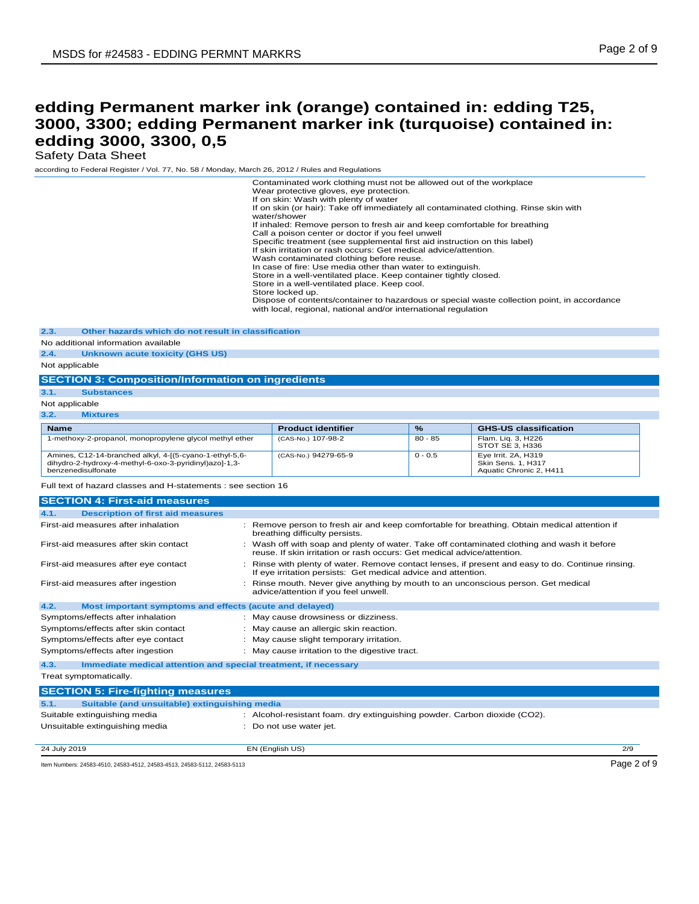Safety Data Sheet

according to Federal Register / Vol. 77, No. 58 / Monday, March 26, 2012 / Rules and Regulations

|                                                                                                                                         | Contaminated work clothing must not be allowed out of the workplace<br>Wear protective gloves, eye protection.<br>If on skin: Wash with plenty of water<br>If on skin (or hair): Take off immediately all contaminated clothing. Rinse skin with<br>water/shower<br>If inhaled: Remove person to fresh air and keep comfortable for breathing<br>Call a poison center or doctor if you feel unwell<br>Specific treatment (see supplemental first aid instruction on this label)<br>If skin irritation or rash occurs: Get medical advice/attention.<br>Wash contaminated clothing before reuse.<br>In case of fire: Use media other than water to extinguish.<br>Store in a well-ventilated place. Keep container tightly closed.<br>Store in a well-ventilated place. Keep cool.<br>Store locked up.<br>Dispose of contents/container to hazardous or special waste collection point, in accordance<br>with local, regional, national and/or international regulation |           |                                                                      |             |
|-----------------------------------------------------------------------------------------------------------------------------------------|------------------------------------------------------------------------------------------------------------------------------------------------------------------------------------------------------------------------------------------------------------------------------------------------------------------------------------------------------------------------------------------------------------------------------------------------------------------------------------------------------------------------------------------------------------------------------------------------------------------------------------------------------------------------------------------------------------------------------------------------------------------------------------------------------------------------------------------------------------------------------------------------------------------------------------------------------------------------|-----------|----------------------------------------------------------------------|-------------|
| 2.3.<br>Other hazards which do not result in classification                                                                             |                                                                                                                                                                                                                                                                                                                                                                                                                                                                                                                                                                                                                                                                                                                                                                                                                                                                                                                                                                        |           |                                                                      |             |
| No additional information available                                                                                                     |                                                                                                                                                                                                                                                                                                                                                                                                                                                                                                                                                                                                                                                                                                                                                                                                                                                                                                                                                                        |           |                                                                      |             |
| 2.4.<br><b>Unknown acute toxicity (GHS US)</b>                                                                                          |                                                                                                                                                                                                                                                                                                                                                                                                                                                                                                                                                                                                                                                                                                                                                                                                                                                                                                                                                                        |           |                                                                      |             |
| Not applicable                                                                                                                          |                                                                                                                                                                                                                                                                                                                                                                                                                                                                                                                                                                                                                                                                                                                                                                                                                                                                                                                                                                        |           |                                                                      |             |
| <b>SECTION 3: Composition/Information on ingredients</b>                                                                                |                                                                                                                                                                                                                                                                                                                                                                                                                                                                                                                                                                                                                                                                                                                                                                                                                                                                                                                                                                        |           |                                                                      |             |
| 3.1.<br><b>Substances</b>                                                                                                               |                                                                                                                                                                                                                                                                                                                                                                                                                                                                                                                                                                                                                                                                                                                                                                                                                                                                                                                                                                        |           |                                                                      |             |
| Not applicable                                                                                                                          |                                                                                                                                                                                                                                                                                                                                                                                                                                                                                                                                                                                                                                                                                                                                                                                                                                                                                                                                                                        |           |                                                                      |             |
| 3.2.<br><b>Mixtures</b>                                                                                                                 |                                                                                                                                                                                                                                                                                                                                                                                                                                                                                                                                                                                                                                                                                                                                                                                                                                                                                                                                                                        |           |                                                                      |             |
| <b>Name</b>                                                                                                                             | <b>Product identifier</b>                                                                                                                                                                                                                                                                                                                                                                                                                                                                                                                                                                                                                                                                                                                                                                                                                                                                                                                                              | $\%$      | <b>GHS-US classification</b>                                         |             |
| 1-methoxy-2-propanol, monopropylene glycol methyl ether                                                                                 | (CAS-No.) 107-98-2                                                                                                                                                                                                                                                                                                                                                                                                                                                                                                                                                                                                                                                                                                                                                                                                                                                                                                                                                     | $80 - 85$ | Flam. Liq. 3, H226<br>STOT SE 3, H336                                |             |
| Amines, C12-14-branched alkyl, 4-[(5-cyano-1-ethyl-5,6-<br>dihydro-2-hydroxy-4-methyl-6-oxo-3-pyridinyl)azo]-1,3-<br>benzenedisulfonate | (CAS-No.) 94279-65-9                                                                                                                                                                                                                                                                                                                                                                                                                                                                                                                                                                                                                                                                                                                                                                                                                                                                                                                                                   | $0 - 0.5$ | Eye Irrit. 2A, H319<br>Skin Sens. 1, H317<br>Aquatic Chronic 2, H411 |             |
| Full text of hazard classes and H-statements : see section 16                                                                           |                                                                                                                                                                                                                                                                                                                                                                                                                                                                                                                                                                                                                                                                                                                                                                                                                                                                                                                                                                        |           |                                                                      |             |
| <b>SECTION 4: First-aid measures</b>                                                                                                    |                                                                                                                                                                                                                                                                                                                                                                                                                                                                                                                                                                                                                                                                                                                                                                                                                                                                                                                                                                        |           |                                                                      |             |
| <b>Description of first aid measures</b><br>4.1.                                                                                        |                                                                                                                                                                                                                                                                                                                                                                                                                                                                                                                                                                                                                                                                                                                                                                                                                                                                                                                                                                        |           |                                                                      |             |
| First-aid measures after inhalation                                                                                                     | : Remove person to fresh air and keep comfortable for breathing. Obtain medical attention if<br>breathing difficulty persists.                                                                                                                                                                                                                                                                                                                                                                                                                                                                                                                                                                                                                                                                                                                                                                                                                                         |           |                                                                      |             |
| First-aid measures after skin contact                                                                                                   | : Wash off with soap and plenty of water. Take off contaminated clothing and wash it before<br>reuse. If skin irritation or rash occurs: Get medical advice/attention.                                                                                                                                                                                                                                                                                                                                                                                                                                                                                                                                                                                                                                                                                                                                                                                                 |           |                                                                      |             |
| First-aid measures after eye contact                                                                                                    | : Rinse with plenty of water. Remove contact lenses, if present and easy to do. Continue rinsing.<br>If eye irritation persists: Get medical advice and attention.                                                                                                                                                                                                                                                                                                                                                                                                                                                                                                                                                                                                                                                                                                                                                                                                     |           |                                                                      |             |
| First-aid measures after ingestion                                                                                                      | : Rinse mouth. Never give anything by mouth to an unconscious person. Get medical<br>advice/attention if you feel unwell.                                                                                                                                                                                                                                                                                                                                                                                                                                                                                                                                                                                                                                                                                                                                                                                                                                              |           |                                                                      |             |
| 4.2.<br>Most important symptoms and effects (acute and delayed)                                                                         |                                                                                                                                                                                                                                                                                                                                                                                                                                                                                                                                                                                                                                                                                                                                                                                                                                                                                                                                                                        |           |                                                                      |             |
| Symptoms/effects after inhalation                                                                                                       | : May cause drowsiness or dizziness.                                                                                                                                                                                                                                                                                                                                                                                                                                                                                                                                                                                                                                                                                                                                                                                                                                                                                                                                   |           |                                                                      |             |
| Symptoms/effects after skin contact                                                                                                     | : May cause an allergic skin reaction.                                                                                                                                                                                                                                                                                                                                                                                                                                                                                                                                                                                                                                                                                                                                                                                                                                                                                                                                 |           |                                                                      |             |
| Symptoms/effects after eye contact                                                                                                      | : May cause slight temporary irritation.                                                                                                                                                                                                                                                                                                                                                                                                                                                                                                                                                                                                                                                                                                                                                                                                                                                                                                                               |           |                                                                      |             |
| Symptoms/effects after ingestion                                                                                                        | : May cause irritation to the digestive tract.                                                                                                                                                                                                                                                                                                                                                                                                                                                                                                                                                                                                                                                                                                                                                                                                                                                                                                                         |           |                                                                      |             |
| Immediate medical attention and special treatment, if necessary<br>4.3.                                                                 |                                                                                                                                                                                                                                                                                                                                                                                                                                                                                                                                                                                                                                                                                                                                                                                                                                                                                                                                                                        |           |                                                                      |             |
| Treat symptomatically.                                                                                                                  |                                                                                                                                                                                                                                                                                                                                                                                                                                                                                                                                                                                                                                                                                                                                                                                                                                                                                                                                                                        |           |                                                                      |             |
| <b>SECTION 5: Fire-fighting measures</b>                                                                                                |                                                                                                                                                                                                                                                                                                                                                                                                                                                                                                                                                                                                                                                                                                                                                                                                                                                                                                                                                                        |           |                                                                      |             |
| Suitable (and unsuitable) extinguishing media<br>5.1.                                                                                   |                                                                                                                                                                                                                                                                                                                                                                                                                                                                                                                                                                                                                                                                                                                                                                                                                                                                                                                                                                        |           |                                                                      |             |
| Suitable extinguishing media                                                                                                            | : Alcohol-resistant foam. dry extinguishing powder. Carbon dioxide (CO2).                                                                                                                                                                                                                                                                                                                                                                                                                                                                                                                                                                                                                                                                                                                                                                                                                                                                                              |           |                                                                      |             |
| Unsuitable extinguishing media                                                                                                          | : Do not use water jet.                                                                                                                                                                                                                                                                                                                                                                                                                                                                                                                                                                                                                                                                                                                                                                                                                                                                                                                                                |           |                                                                      |             |
|                                                                                                                                         |                                                                                                                                                                                                                                                                                                                                                                                                                                                                                                                                                                                                                                                                                                                                                                                                                                                                                                                                                                        |           |                                                                      |             |
| 24 July 2019                                                                                                                            | EN (English US)                                                                                                                                                                                                                                                                                                                                                                                                                                                                                                                                                                                                                                                                                                                                                                                                                                                                                                                                                        |           |                                                                      | 2/9         |
| Item Numbers: 24583-4510, 24583-4512, 24583-4513, 24583-5112, 24583-5113                                                                |                                                                                                                                                                                                                                                                                                                                                                                                                                                                                                                                                                                                                                                                                                                                                                                                                                                                                                                                                                        |           |                                                                      | Page 2 of 9 |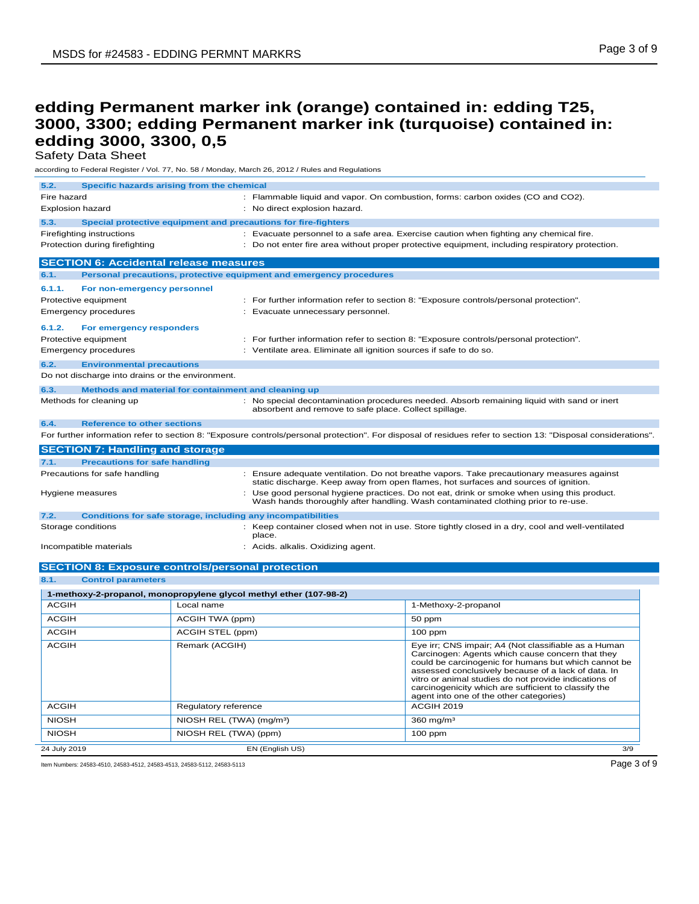Safety Data Sheet

according to Federal Register / Vol. 77, No. 58 / Monday, March 26, 2012 / Rules and Regulations

| 5.2.                           |                                                  | Specific hazards arising from the chemical              |                                                                     |                                                                                                                                                                                                                                                                                                                                                                                     |
|--------------------------------|--------------------------------------------------|---------------------------------------------------------|---------------------------------------------------------------------|-------------------------------------------------------------------------------------------------------------------------------------------------------------------------------------------------------------------------------------------------------------------------------------------------------------------------------------------------------------------------------------|
| Fire hazard                    |                                                  |                                                         |                                                                     | : Flammable liquid and vapor. On combustion, forms: carbon oxides (CO and CO2).                                                                                                                                                                                                                                                                                                     |
| <b>Explosion hazard</b>        |                                                  |                                                         | : No direct explosion hazard.                                       |                                                                                                                                                                                                                                                                                                                                                                                     |
| 5.3.                           |                                                  |                                                         | Special protective equipment and precautions for fire-fighters      |                                                                                                                                                                                                                                                                                                                                                                                     |
| Firefighting instructions      |                                                  |                                                         |                                                                     | : Evacuate personnel to a safe area. Exercise caution when fighting any chemical fire.                                                                                                                                                                                                                                                                                              |
| Protection during firefighting |                                                  |                                                         |                                                                     | : Do not enter fire area without proper protective equipment, including respiratory protection.                                                                                                                                                                                                                                                                                     |
|                                |                                                  | <b>SECTION 6: Accidental release measures</b>           |                                                                     |                                                                                                                                                                                                                                                                                                                                                                                     |
| 6.1.                           |                                                  |                                                         | Personal precautions, protective equipment and emergency procedures |                                                                                                                                                                                                                                                                                                                                                                                     |
| 6.1.1.                         | For non-emergency personnel                      |                                                         |                                                                     |                                                                                                                                                                                                                                                                                                                                                                                     |
| Protective equipment           |                                                  |                                                         |                                                                     | : For further information refer to section 8: "Exposure controls/personal protection".                                                                                                                                                                                                                                                                                              |
| <b>Emergency procedures</b>    |                                                  |                                                         | Evacuate unnecessary personnel.                                     |                                                                                                                                                                                                                                                                                                                                                                                     |
| 6.1.2.                         | For emergency responders                         |                                                         |                                                                     |                                                                                                                                                                                                                                                                                                                                                                                     |
| Protective equipment           |                                                  |                                                         |                                                                     | : For further information refer to section 8: "Exposure controls/personal protection".                                                                                                                                                                                                                                                                                              |
| <b>Emergency procedures</b>    |                                                  |                                                         | : Ventilate area. Eliminate all ignition sources if safe to do so.  |                                                                                                                                                                                                                                                                                                                                                                                     |
| 6.2.                           | <b>Environmental precautions</b>                 |                                                         |                                                                     |                                                                                                                                                                                                                                                                                                                                                                                     |
|                                | Do not discharge into drains or the environment. |                                                         |                                                                     |                                                                                                                                                                                                                                                                                                                                                                                     |
| 6.3.                           |                                                  | Methods and material for containment and cleaning up    |                                                                     |                                                                                                                                                                                                                                                                                                                                                                                     |
| Methods for cleaning up        |                                                  |                                                         | absorbent and remove to safe place. Collect spillage.               | : No special decontamination procedures needed. Absorb remaining liquid with sand or inert                                                                                                                                                                                                                                                                                          |
| 6.4.                           | <b>Reference to other sections</b>               |                                                         |                                                                     |                                                                                                                                                                                                                                                                                                                                                                                     |
|                                |                                                  |                                                         |                                                                     | For further information refer to section 8: "Exposure controls/personal protection". For disposal of residues refer to section 13: "Disposal considerations".                                                                                                                                                                                                                       |
|                                | <b>SECTION 7: Handling and storage</b>           |                                                         |                                                                     |                                                                                                                                                                                                                                                                                                                                                                                     |
| 7.1.                           | <b>Precautions for safe handling</b>             |                                                         |                                                                     |                                                                                                                                                                                                                                                                                                                                                                                     |
| Precautions for safe handling  |                                                  |                                                         |                                                                     | : Ensure adequate ventilation. Do not breathe vapors. Take precautionary measures against<br>static discharge. Keep away from open flames, hot surfaces and sources of ignition.                                                                                                                                                                                                    |
| Hygiene measures               |                                                  |                                                         |                                                                     | Use good personal hygiene practices. Do not eat, drink or smoke when using this product.<br>Wash hands thoroughly after handling. Wash contaminated clothing prior to re-use.                                                                                                                                                                                                       |
| 7.2.                           |                                                  |                                                         | Conditions for safe storage, including any incompatibilities        |                                                                                                                                                                                                                                                                                                                                                                                     |
| Storage conditions             |                                                  |                                                         | place.                                                              | : Keep container closed when not in use. Store tightly closed in a dry, cool and well-ventilated                                                                                                                                                                                                                                                                                    |
| Incompatible materials         |                                                  |                                                         | : Acids. alkalis. Oxidizing agent.                                  |                                                                                                                                                                                                                                                                                                                                                                                     |
|                                |                                                  |                                                         |                                                                     |                                                                                                                                                                                                                                                                                                                                                                                     |
| 8.1.                           | <b>Control parameters</b>                        | <b>SECTION 8: Exposure controls/personal protection</b> |                                                                     |                                                                                                                                                                                                                                                                                                                                                                                     |
|                                |                                                  |                                                         |                                                                     |                                                                                                                                                                                                                                                                                                                                                                                     |
| <b>ACGIH</b>                   |                                                  | Local name                                              | 1-methoxy-2-propanol, monopropylene glycol methyl ether (107-98-2)  | 1-Methoxy-2-propanol                                                                                                                                                                                                                                                                                                                                                                |
| <b>ACGIH</b>                   |                                                  | ACGIH TWA (ppm)                                         |                                                                     | 50 ppm                                                                                                                                                                                                                                                                                                                                                                              |
| <b>ACGIH</b>                   |                                                  | ACGIH STEL (ppm)                                        |                                                                     | $100$ ppm                                                                                                                                                                                                                                                                                                                                                                           |
|                                |                                                  |                                                         |                                                                     |                                                                                                                                                                                                                                                                                                                                                                                     |
| <b>ACGIH</b>                   |                                                  | Remark (ACGIH)                                          |                                                                     | Eye irr; CNS impair; A4 (Not classifiable as a Human<br>Carcinogen: Agents which cause concern that they<br>could be carcinogenic for humans but which cannot be<br>assessed conclusively because of a lack of data. In<br>vitro or animal studies do not provide indications of<br>carcinogenicity which are sufficient to classify the<br>agent into one of the other categories) |
| <b>ACGIH</b>                   |                                                  | Regulatory reference                                    |                                                                     | ACGIH 2019                                                                                                                                                                                                                                                                                                                                                                          |
| <b>NIOSH</b>                   |                                                  | NIOSH REL (TWA) (mg/m <sup>3</sup> )                    |                                                                     | $360$ mg/m <sup>3</sup>                                                                                                                                                                                                                                                                                                                                                             |
| <b>NIOSH</b>                   |                                                  | NIOSH REL (TWA) (ppm)                                   |                                                                     | $100$ ppm                                                                                                                                                                                                                                                                                                                                                                           |

24 July 2019 EN (English US) 3/9

Item Numbers: 24583-4510, 24583-4512, 24583-4513, 24583-5112, 24583-5113 Page 3 of 9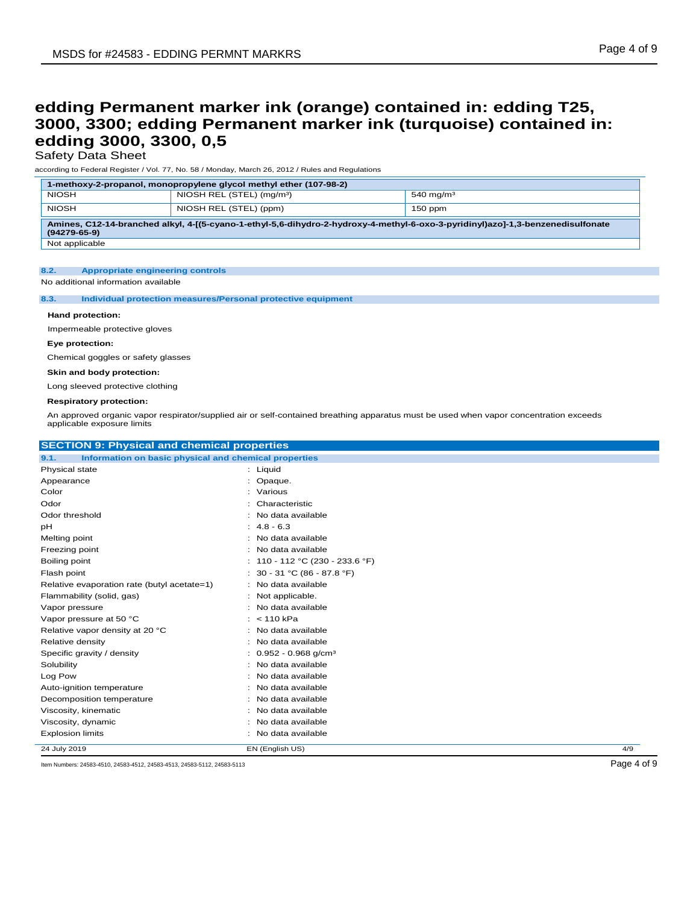Safety Data Sheet

according to Federal Register / Vol. 77, No. 58 / Monday, March 26, 2012 / Rules and Regulations

| 1-methoxy-2-propanol, monopropylene glycol methyl ether (107-98-2)                                                                                    |                                       |                       |
|-------------------------------------------------------------------------------------------------------------------------------------------------------|---------------------------------------|-----------------------|
| <b>NIOSH</b>                                                                                                                                          | NIOSH REL (STEL) (mg/m <sup>3</sup> ) | 540 mg/m <sup>3</sup> |
| <b>NIOSH</b>                                                                                                                                          | NIOSH REL (STEL) (ppm)                | $150$ ppm             |
| Amines, C12-14-branched alkyl, 4-[(5-cyano-1-ethyl-5.6-dihydro-2-hydroxy-4-methyl-6-oxo-3-pyridinyl)azo]-1,3-benzenedisulfonate<br>$(94279 - 65 - 9)$ |                                       |                       |

Not applicable

### **8.2. Appropriate engineering controls**

No additional information available

#### **8.3. Individual protection measures/Personal protective equipment**

#### **Hand protection:**

Impermeable protective gloves

#### **Eye protection:**

Chemical goggles or safety glasses

**Skin and body protection:**

Long sleeved protective clothing

#### **Respiratory protection:**

An approved organic vapor respirator/supplied air or self-contained breathing apparatus must be used when vapor concentration exceeds applicable exposure limits

| <b>SECTION 9: Physical and chemical properties</b>            |                                     |     |
|---------------------------------------------------------------|-------------------------------------|-----|
| 9.1.<br>Information on basic physical and chemical properties |                                     |     |
| Physical state                                                | : Liquid                            |     |
| Appearance                                                    | : Opaque.                           |     |
| Color                                                         | : Various                           |     |
| Odor                                                          | Characteristic                      |     |
| Odor threshold                                                | : No data available                 |     |
| рH                                                            | $: 4.8 - 6.3$                       |     |
| Melting point                                                 | : No data available                 |     |
| Freezing point                                                | : No data available                 |     |
| Boiling point                                                 | : $110 - 112$ °C (230 - 233.6 °F)   |     |
| Flash point                                                   | : $30 - 31$ °C (86 - 87.8 °F)       |     |
| Relative evaporation rate (butyl acetate=1)                   | : No data available                 |     |
| Flammability (solid, gas)                                     | : Not applicable.                   |     |
| Vapor pressure                                                | : No data available                 |     |
| Vapor pressure at 50 °C                                       | : 110 kPa                           |     |
| Relative vapor density at 20 °C                               | : No data available                 |     |
| Relative density                                              | : No data available                 |     |
| Specific gravity / density                                    | $: 0.952 - 0.968$ g/cm <sup>3</sup> |     |
| Solubility                                                    | : No data available                 |     |
| Log Pow                                                       | No data available                   |     |
| Auto-ignition temperature                                     | : No data available                 |     |
| Decomposition temperature                                     | No data available                   |     |
| Viscosity, kinematic                                          | : No data available                 |     |
| Viscosity, dynamic                                            | : No data available                 |     |
| <b>Explosion limits</b>                                       | : No data available                 |     |
| 24 July 2019                                                  | EN (English US)                     | 4/9 |

Item Numbers: 24583-4510, 24583-4512, 24583-4513, 24583-5112, 24583-5113 Page 4 of 9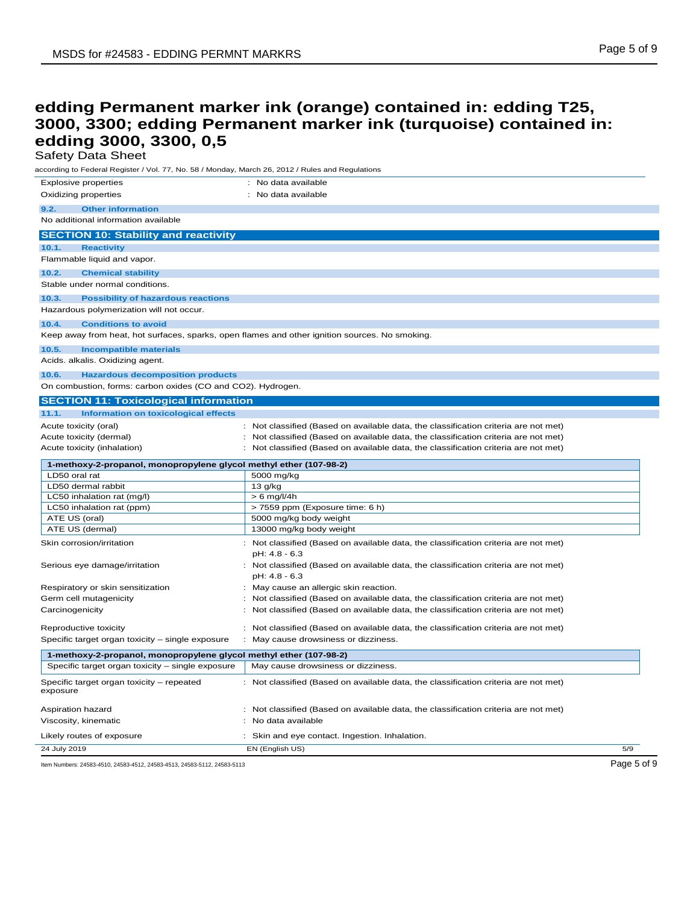Safety Data Sheet

| according to Federal Register / Vol. 77, No. 58 / Monday, March 26, 2012 / Rules and Regulations |                                                                                     |     |
|--------------------------------------------------------------------------------------------------|-------------------------------------------------------------------------------------|-----|
| <b>Explosive properties</b>                                                                      | : No data available                                                                 |     |
| Oxidizing properties                                                                             | : No data available                                                                 |     |
|                                                                                                  |                                                                                     |     |
| 9.2.<br><b>Other information</b>                                                                 |                                                                                     |     |
| No additional information available                                                              |                                                                                     |     |
| <b>SECTION 10: Stability and reactivity</b>                                                      |                                                                                     |     |
| 10.1.<br><b>Reactivity</b>                                                                       |                                                                                     |     |
| Flammable liquid and vapor.                                                                      |                                                                                     |     |
| <b>Chemical stability</b><br>10.2.                                                               |                                                                                     |     |
| Stable under normal conditions.                                                                  |                                                                                     |     |
|                                                                                                  |                                                                                     |     |
| 10.3.<br><b>Possibility of hazardous reactions</b>                                               |                                                                                     |     |
| Hazardous polymerization will not occur.                                                         |                                                                                     |     |
| 10.4.<br><b>Conditions to avoid</b>                                                              |                                                                                     |     |
| Keep away from heat, hot surfaces, sparks, open flames and other ignition sources. No smoking.   |                                                                                     |     |
| <b>Incompatible materials</b><br>10.5.                                                           |                                                                                     |     |
| Acids. alkalis. Oxidizing agent.                                                                 |                                                                                     |     |
| 10.6.<br><b>Hazardous decomposition products</b>                                                 |                                                                                     |     |
| On combustion, forms: carbon oxides (CO and CO2). Hydrogen.                                      |                                                                                     |     |
|                                                                                                  |                                                                                     |     |
| <b>SECTION 11: Toxicological information</b>                                                     |                                                                                     |     |
| 11.1.<br><b>Information on toxicological effects</b>                                             |                                                                                     |     |
| Acute toxicity (oral)                                                                            | : Not classified (Based on available data, the classification criteria are not met) |     |
| Acute toxicity (dermal)                                                                          | : Not classified (Based on available data, the classification criteria are not met) |     |
| Acute toxicity (inhalation)                                                                      | : Not classified (Based on available data, the classification criteria are not met) |     |
| 1-methoxy-2-propanol, monopropylene glycol methyl ether (107-98-2)                               |                                                                                     |     |
| LD50 oral rat                                                                                    | 5000 mg/kg                                                                          |     |
| LD50 dermal rabbit                                                                               | 13 g/kg                                                                             |     |
| LC50 inhalation rat (mg/l)                                                                       | $> 6$ mg/l/4h                                                                       |     |
| LC50 inhalation rat (ppm)                                                                        | > 7559 ppm (Exposure time: 6 h)                                                     |     |
| ATE US (oral)                                                                                    | 5000 mg/kg body weight                                                              |     |
| ATE US (dermal)                                                                                  | 13000 mg/kg body weight                                                             |     |
| Skin corrosion/irritation                                                                        | : Not classified (Based on available data, the classification criteria are not met) |     |
|                                                                                                  | pH: 4.8 - 6.3                                                                       |     |
| Serious eye damage/irritation                                                                    | : Not classified (Based on available data, the classification criteria are not met) |     |
|                                                                                                  | pH: 4.8 - 6.3                                                                       |     |
| Respiratory or skin sensitization                                                                | : May cause an allergic skin reaction.                                              |     |
| Germ cell mutagenicity                                                                           | : Not classified (Based on available data, the classification criteria are not met) |     |
| Carcinogenicity                                                                                  | : Not classified (Based on available data, the classification criteria are not met) |     |
|                                                                                                  |                                                                                     |     |
| Reproductive toxicity                                                                            | : Not classified (Based on available data, the classification criteria are not met) |     |
| Specific target organ toxicity - single exposure                                                 | : May cause drowsiness or dizziness.                                                |     |
| 1-methoxy-2-propanol, monopropylene glycol methyl ether (107-98-2)                               |                                                                                     |     |
| Specific target organ toxicity - single exposure                                                 | May cause drowsiness or dizziness.                                                  |     |
|                                                                                                  |                                                                                     |     |
| Specific target organ toxicity - repeated<br>exposure                                            | : Not classified (Based on available data, the classification criteria are not met) |     |
| Aspiration hazard                                                                                | : Not classified (Based on available data, the classification criteria are not met) |     |
| Viscosity, kinematic                                                                             | : No data available                                                                 |     |
|                                                                                                  |                                                                                     |     |
| Likely routes of exposure<br>24 July 2019                                                        | : Skin and eye contact. Ingestion. Inhalation.                                      |     |
|                                                                                                  | EN (English US)                                                                     | 5/9 |

Item Numbers: 24583-4510, 24583-4512, 24583-4513, 24583-5112, 24583-5113 Page 5 of 9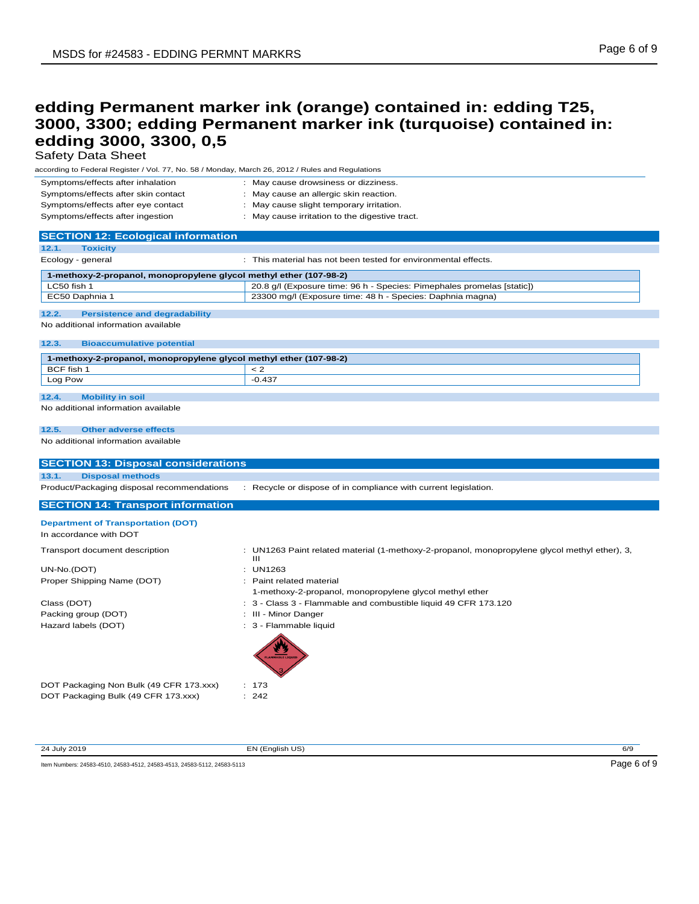Safety Data Sheet

according to Federal Register / Vol. 77, No. 58 / Monday, March 26, 2012 / Rules and Regulations

| Symptoms/effects after inhalation   | : May cause drowsiness or dizziness.           |
|-------------------------------------|------------------------------------------------|
| Symptoms/effects after skin contact | : May cause an allergic skin reaction.         |
| Symptoms/effects after eye contact  | : May cause slight temporary irritation.       |
| Symptoms/effects after ingestion    | : May cause irritation to the digestive tract. |

| <b>SECTION 12: Ecological information</b>                          |                                                                        |
|--------------------------------------------------------------------|------------------------------------------------------------------------|
| 12.1.<br><b>Toxicity</b>                                           |                                                                        |
| Ecology - general                                                  | : This material has not been tested for environmental effects.         |
| 1-methoxy-2-propanol, monopropylene glycol methyl ether (107-98-2) |                                                                        |
| LC50 fish 1                                                        | 20.8 g/l (Exposure time: 96 h - Species: Pimephales promelas [static]) |
| EC50 Daphnia 1                                                     | 23300 mg/l (Exposure time: 48 h - Species: Daphnia magna)              |
|                                                                    |                                                                        |
| 12.2.<br><b>Persistence and degradability</b>                      |                                                                        |
| No additional information available                                |                                                                        |

### **12.3. Bioaccumulative potential**

| 1-methoxy-2-propanol, monopropylene glycol methyl ether (107-98-2) |          |  |
|--------------------------------------------------------------------|----------|--|
| BCF fish 1                                                         |          |  |
| Log Pow                                                            | $-0.437$ |  |
|                                                                    |          |  |
| 12.4<br><b>Mobility in soil</b>                                    |          |  |

### No additional information available

#### **12.5. Other adverse effects**

No additional information available

| <b>SECTION 13: Disposal considerations</b> |                                                                                                    |
|--------------------------------------------|----------------------------------------------------------------------------------------------------|
| <b>Disposal methods</b><br>13.1.           |                                                                                                    |
| Product/Packaging disposal recommendations | : Recycle or dispose of in compliance with current legislation.                                    |
|                                            |                                                                                                    |
| <b>SECTION 14: Transport information</b>   |                                                                                                    |
| <b>Department of Transportation (DOT)</b>  |                                                                                                    |
| In accordance with DOT                     |                                                                                                    |
|                                            |                                                                                                    |
| Transport document description             | : UN1263 Paint related material (1-methoxy-2-propanol, monopropylene glycol methyl ether), 3,<br>Ш |
| UN-No.(DOT)                                | $:$ UN1263                                                                                         |
| Proper Shipping Name (DOT)                 | : Paint related material                                                                           |
|                                            | 1-methoxy-2-propanol, monopropylene glycol methyl ether                                            |
| Class (DOT)                                | : 3 - Class 3 - Flammable and combustible liquid 49 CFR 173.120                                    |
| Packing group (DOT)                        | : III - Minor Danger                                                                               |
| Hazard labels (DOT)                        | : 3 - Flammable liquid                                                                             |
|                                            | <b>FLAMMABLE LIQUE</b>                                                                             |
| DOT Packaging Non Bulk (49 CFR 173.xxx)    | : 173                                                                                              |
| DOT Packaging Bulk (49 CFR 173.xxx)        | : 242                                                                                              |

24 July 2019 **EN (English US) EN CONTACT CONTACT CONTACT CONTACT CONTACT CONTACT CONTACT CONTACT CONTACT CONTACT CONTACT CONTACT CONTACT CONTACT CONTACT CONTACT CONTACT CONTACT CONTACT CONTACT CONTACT CONTACT CONTACT CON** 

Item Numbers: 24583-4510, 24583-4512, 24583-4513, 24583-5112, 24583-5113 Page 6 of 9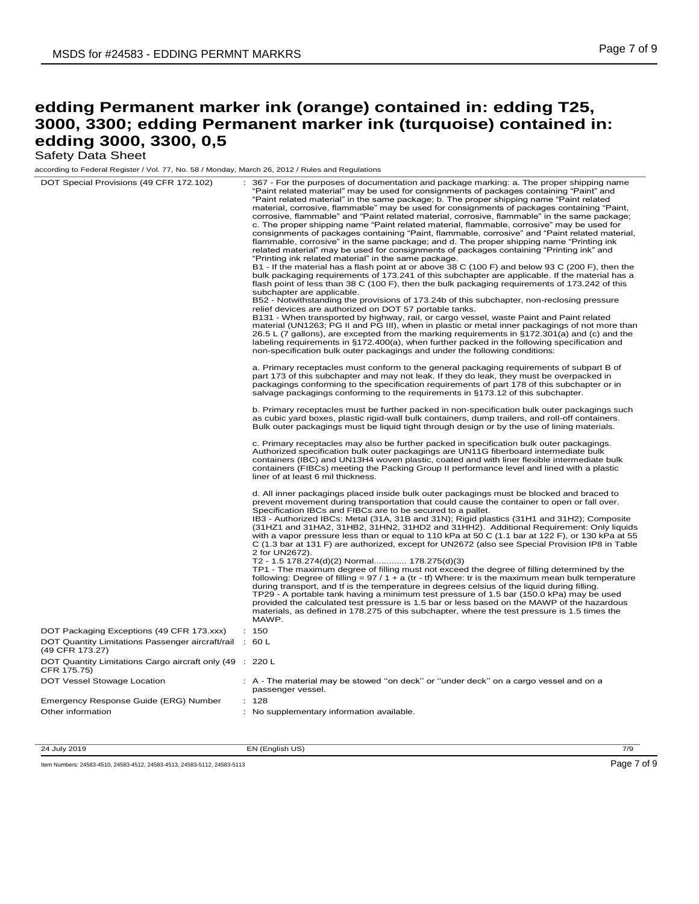Safety Data Sheet

according to Federal Register / Vol. 77, No. 58 / Monday, March 26, 2012 / Rules and Regulations

| DOT Special Provisions (49 CFR 172.102)                                    | 367 - For the purposes of documentation and package marking: a. The proper shipping name<br>"Paint related material" may be used for consignments of packages containing "Paint" and<br>"Paint related material" in the same package; b. The proper shipping name "Paint related"<br>material, corrosive, flammable" may be used for consignments of packages containing "Paint,<br>corrosive, flammable" and "Paint related material, corrosive, flammable" in the same package;<br>c. The proper shipping name "Paint related material, flammable, corrosive" may be used for<br>consignments of packages containing "Paint, flammable, corrosive" and "Paint related material,<br>flammable, corrosive" in the same package; and d. The proper shipping name "Printing ink<br>related material" may be used for consignments of packages containing "Printing ink" and<br>"Printing ink related material" in the same package.<br>B1 - If the material has a flash point at or above 38 C (100 F) and below 93 C (200 F), then the<br>bulk packaging requirements of 173.241 of this subchapter are applicable. If the material has a<br>flash point of less than 38 C (100 F), then the bulk packaging requirements of 173.242 of this<br>subchapter are applicable.<br>B52 - Notwithstanding the provisions of 173.24b of this subchapter, non-reclosing pressure<br>relief devices are authorized on DOT 57 portable tanks.<br>B131 - When transported by highway, rail, or cargo vessel, waste Paint and Paint related<br>material (UN1263; PG II and PG III), when in plastic or metal inner packagings of not more than<br>26.5 L (7 gallons), are excepted from the marking requirements in §172.301(a) and (c) and the<br>labeling requirements in §172.400(a), when further packed in the following specification and<br>non-specification bulk outer packagings and under the following conditions:<br>a. Primary receptacles must conform to the general packaging requirements of subpart B of<br>part 173 of this subchapter and may not leak. If they do leak, they must be overpacked in<br>packagings conforming to the specification requirements of part 178 of this subchapter or in<br>salvage packagings conforming to the requirements in §173.12 of this subchapter.<br>b. Primary receptacles must be further packed in non-specification bulk outer packagings such<br>as cubic yard boxes, plastic rigid-wall bulk containers, dump trailers, and roll-off containers.<br>Bulk outer packagings must be liquid tight through design or by the use of lining materials.<br>c. Primary receptacles may also be further packed in specification bulk outer packagings.<br>Authorized specification bulk outer packagings are UN11G fiberboard intermediate bulk<br>containers (IBC) and UN13H4 woven plastic, coated and with liner flexible intermediate bulk<br>containers (FIBCs) meeting the Packing Group II performance level and lined with a plastic<br>liner of at least 6 mil thickness. |
|----------------------------------------------------------------------------|------------------------------------------------------------------------------------------------------------------------------------------------------------------------------------------------------------------------------------------------------------------------------------------------------------------------------------------------------------------------------------------------------------------------------------------------------------------------------------------------------------------------------------------------------------------------------------------------------------------------------------------------------------------------------------------------------------------------------------------------------------------------------------------------------------------------------------------------------------------------------------------------------------------------------------------------------------------------------------------------------------------------------------------------------------------------------------------------------------------------------------------------------------------------------------------------------------------------------------------------------------------------------------------------------------------------------------------------------------------------------------------------------------------------------------------------------------------------------------------------------------------------------------------------------------------------------------------------------------------------------------------------------------------------------------------------------------------------------------------------------------------------------------------------------------------------------------------------------------------------------------------------------------------------------------------------------------------------------------------------------------------------------------------------------------------------------------------------------------------------------------------------------------------------------------------------------------------------------------------------------------------------------------------------------------------------------------------------------------------------------------------------------------------------------------------------------------------------------------------------------------------------------------------------------------------------------------------------------------------------------------------------------------------------------------------------------------------------------------------------------------------------------------------------------------------------------------------------------------------------------------------------------------------------------------------------------------------------------------------------------------------------------|
|                                                                            | d. All inner packagings placed inside bulk outer packagings must be blocked and braced to<br>prevent movement during transportation that could cause the container to open or fall over.<br>Specification IBCs and FIBCs are to be secured to a pallet.<br>IB3 - Authorized IBCs: Metal (31A, 31B and 31N); Rigid plastics (31H1 and 31H2); Composite<br>(31HZ1 and 31HA2, 31HB2, 31HN2, 31HD2 and 31HH2). Additional Requirement: Only liquids<br>with a vapor pressure less than or equal to 110 kPa at 50 C (1.1 bar at 122 F), or 130 kPa at 55<br>C (1.3 bar at 131 F) are authorized, except for UN2672 (also see Special Provision IP8 in Table<br>2 for UN2672).<br>T2 - 1.5 178.274(d)(2) Normal 178.275(d)(3)<br>TP1 - The maximum degree of filling must not exceed the degree of filling determined by the<br>following: Degree of filling = $97/1 + a$ (tr - tf) Where: tr is the maximum mean bulk temperature<br>during transport, and tf is the temperature in degrees celsius of the liquid during filling.<br>TP29 - A portable tank having a minimum test pressure of 1.5 bar (150.0 kPa) may be used<br>provided the calculated test pressure is 1.5 bar or less based on the MAWP of the hazardous<br>materials, as defined in 178.275 of this subchapter, where the test pressure is 1.5 times the<br>MAWP.                                                                                                                                                                                                                                                                                                                                                                                                                                                                                                                                                                                                                                                                                                                                                                                                                                                                                                                                                                                                                                                                                                                                                                                                                                                                                                                                                                                                                                                                                                                                                                                                                                                                                            |
| DOT Packaging Exceptions (49 CFR 173.xxx)                                  | : 150                                                                                                                                                                                                                                                                                                                                                                                                                                                                                                                                                                                                                                                                                                                                                                                                                                                                                                                                                                                                                                                                                                                                                                                                                                                                                                                                                                                                                                                                                                                                                                                                                                                                                                                                                                                                                                                                                                                                                                                                                                                                                                                                                                                                                                                                                                                                                                                                                                                                                                                                                                                                                                                                                                                                                                                                                                                                                                                                                                                                                        |
| DOT Quantity Limitations Passenger aircraft/rail : 60 L<br>(49 CFR 173.27) |                                                                                                                                                                                                                                                                                                                                                                                                                                                                                                                                                                                                                                                                                                                                                                                                                                                                                                                                                                                                                                                                                                                                                                                                                                                                                                                                                                                                                                                                                                                                                                                                                                                                                                                                                                                                                                                                                                                                                                                                                                                                                                                                                                                                                                                                                                                                                                                                                                                                                                                                                                                                                                                                                                                                                                                                                                                                                                                                                                                                                              |
| DOT Quantity Limitations Cargo aircraft only (49 : 220 L<br>CFR 175.75)    |                                                                                                                                                                                                                                                                                                                                                                                                                                                                                                                                                                                                                                                                                                                                                                                                                                                                                                                                                                                                                                                                                                                                                                                                                                                                                                                                                                                                                                                                                                                                                                                                                                                                                                                                                                                                                                                                                                                                                                                                                                                                                                                                                                                                                                                                                                                                                                                                                                                                                                                                                                                                                                                                                                                                                                                                                                                                                                                                                                                                                              |
| DOT Vessel Stowage Location                                                | : A - The material may be stowed "on deck" or "under deck" on a cargo vessel and on a<br>passenger vessel.                                                                                                                                                                                                                                                                                                                                                                                                                                                                                                                                                                                                                                                                                                                                                                                                                                                                                                                                                                                                                                                                                                                                                                                                                                                                                                                                                                                                                                                                                                                                                                                                                                                                                                                                                                                                                                                                                                                                                                                                                                                                                                                                                                                                                                                                                                                                                                                                                                                                                                                                                                                                                                                                                                                                                                                                                                                                                                                   |
| Emergency Response Guide (ERG) Number                                      | : 128                                                                                                                                                                                                                                                                                                                                                                                                                                                                                                                                                                                                                                                                                                                                                                                                                                                                                                                                                                                                                                                                                                                                                                                                                                                                                                                                                                                                                                                                                                                                                                                                                                                                                                                                                                                                                                                                                                                                                                                                                                                                                                                                                                                                                                                                                                                                                                                                                                                                                                                                                                                                                                                                                                                                                                                                                                                                                                                                                                                                                        |
| Other information                                                          | : No supplementary information available.                                                                                                                                                                                                                                                                                                                                                                                                                                                                                                                                                                                                                                                                                                                                                                                                                                                                                                                                                                                                                                                                                                                                                                                                                                                                                                                                                                                                                                                                                                                                                                                                                                                                                                                                                                                                                                                                                                                                                                                                                                                                                                                                                                                                                                                                                                                                                                                                                                                                                                                                                                                                                                                                                                                                                                                                                                                                                                                                                                                    |
|                                                                            |                                                                                                                                                                                                                                                                                                                                                                                                                                                                                                                                                                                                                                                                                                                                                                                                                                                                                                                                                                                                                                                                                                                                                                                                                                                                                                                                                                                                                                                                                                                                                                                                                                                                                                                                                                                                                                                                                                                                                                                                                                                                                                                                                                                                                                                                                                                                                                                                                                                                                                                                                                                                                                                                                                                                                                                                                                                                                                                                                                                                                              |

24 July 2019 **EN (English US) EN CONTACT CONTACT CONTACT CONTACT CONTACT CONTACT CONTACT CONTACT CONTACT CONTACT CONTACT CONTACT CONTACT CONTACT CONTACT CONTACT CONTACT CONTACT CONTACT CONTACT CONTACT CONTACT CONTACT CON** Item Numbers: 24583-4510, 24583-4512, 24583-4513, 24583-5112, 24583-5113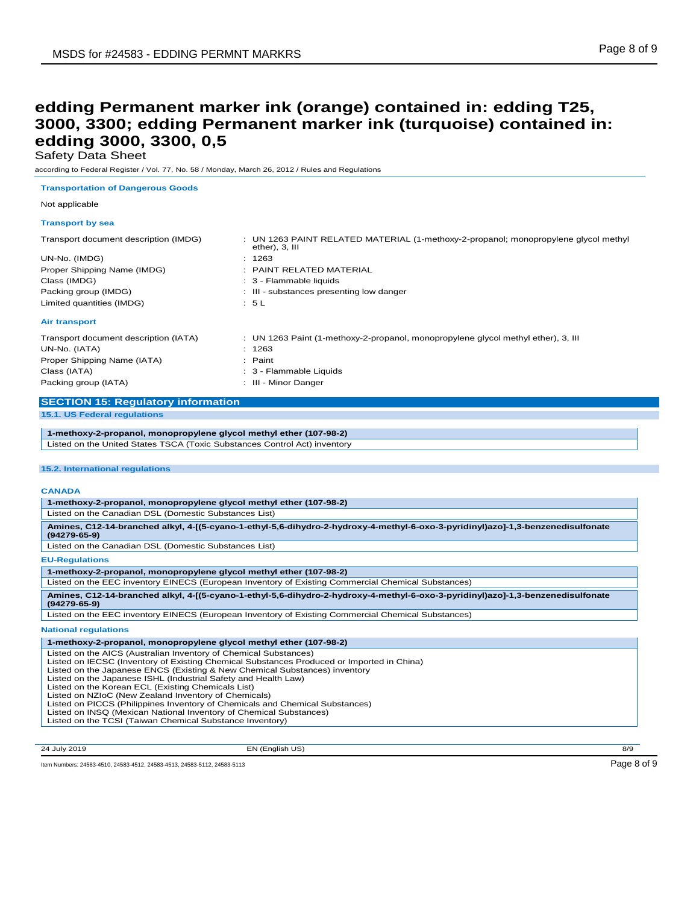Safety Data Sheet

according to Federal Register / Vol. 77, No. 58 / Monday, March 26, 2012 / Rules and Regulations

**Transportation of Dangerous Goods**

#### Not applicable

### **Transport by sea**

| Transport document description (IMDG) | : UN 1263 PAINT RELATED MATERIAL (1-methoxy-2-propanol; monopropylene glycol methyl<br>ether), 3, III |
|---------------------------------------|-------------------------------------------------------------------------------------------------------|
| UN-No. (IMDG)                         | : 1263                                                                                                |
| Proper Shipping Name (IMDG)           | $\pm$ PAINT RELATED MATERIAL                                                                          |
| Class (IMDG)                          | : 3 - Flammable liquids                                                                               |
| Packing group (IMDG)                  | : III - substances presenting low danger                                                              |
| Limited quantities (IMDG)             | : 5L                                                                                                  |
| <b>Air transport</b>                  |                                                                                                       |
| Transport document description (IATA) | : UN 1263 Paint (1-methoxy-2-propanol, monopropylene glycol methyl ether), 3, III                     |
| UN-No. (IATA)                         | : 1263                                                                                                |
| Proper Shipping Name (IATA)           | : Paint                                                                                               |
| Class (IATA)                          | : 3 - Flammable Liquids                                                                               |
| Packing group (IATA)                  | : III - Minor Danger                                                                                  |

### **SECTION 15: Regulatory information**

**15.1. US Federal regulations**

**1-methoxy-2-propanol, monopropylene glycol methyl ether (107-98-2)** Listed on the United States TSCA (Toxic Substances Control Act) inventory

### **15.2. International regulations**

### **CANADA**

| 1-methoxy-2-propanol, monopropylene glycol methyl ether (107-98-2)                                                                                                                                                                                                                                            |  |  |  |  |  |
|---------------------------------------------------------------------------------------------------------------------------------------------------------------------------------------------------------------------------------------------------------------------------------------------------------------|--|--|--|--|--|
| Listed on the Canadian DSL (Domestic Substances List)                                                                                                                                                                                                                                                         |  |  |  |  |  |
| Amines, C12-14-branched alkyl, 4-[(5-cyano-1-ethyl-5,6-dihydro-2-hydroxy-4-methyl-6-oxo-3-pyridinyl)azo]-1,3-benzenedisulfonate<br>$(94279 - 65 - 9)$                                                                                                                                                         |  |  |  |  |  |
| Listed on the Canadian DSL (Domestic Substances List)                                                                                                                                                                                                                                                         |  |  |  |  |  |
| <b>EU-Regulations</b>                                                                                                                                                                                                                                                                                         |  |  |  |  |  |
| 1-methoxy-2-propanol, monopropylene glycol methyl ether (107-98-2)                                                                                                                                                                                                                                            |  |  |  |  |  |
| Listed on the EEC inventory EINECS (European Inventory of Existing Commercial Chemical Substances)                                                                                                                                                                                                            |  |  |  |  |  |
| Amines, C12-14-branched alkyl, 4-[(5-cyano-1-ethyl-5,6-dihydro-2-hydroxy-4-methyl-6-oxo-3-pyridinyl)azo]-1,3-benzenedisulfonate<br>$(94279 - 65 - 9)$                                                                                                                                                         |  |  |  |  |  |
| Listed on the EEC inventory EINECS (European Inventory of Existing Commercial Chemical Substances)                                                                                                                                                                                                            |  |  |  |  |  |
| <b>National regulations</b>                                                                                                                                                                                                                                                                                   |  |  |  |  |  |
| 1-methoxy-2-propanol, monopropylene glycol methyl ether (107-98-2)                                                                                                                                                                                                                                            |  |  |  |  |  |
| Listed on the AICS (Australian Inventory of Chemical Substances)<br>Listed on IECSC (Inventory of Existing Chemical Substances Produced or Imported in China)<br>Listed on the Japanese ENCS (Existing & New Chemical Substances) inventory<br>Listed on the Japanese ISHL (Industrial Safety and Health Law) |  |  |  |  |  |

Listed on the Korean ECL (Existing Chemicals List)

Listed on NZIoC (New Zealand Inventory of Chemicals)<br>Listed on PICCS (Philippines Inventory of Chemicals and Chemical Substances)<br>Listed on INSQ (Mexican National Inventory of Chemical Substances)<br>Listed on the TCSI (Taiwa

24 July 2019 EN (English US) 8/9

Item Numbers: 24583-4510, 24583-4512, 24583-4513, 24583-5112, 24583-5113 Page 8 of 9